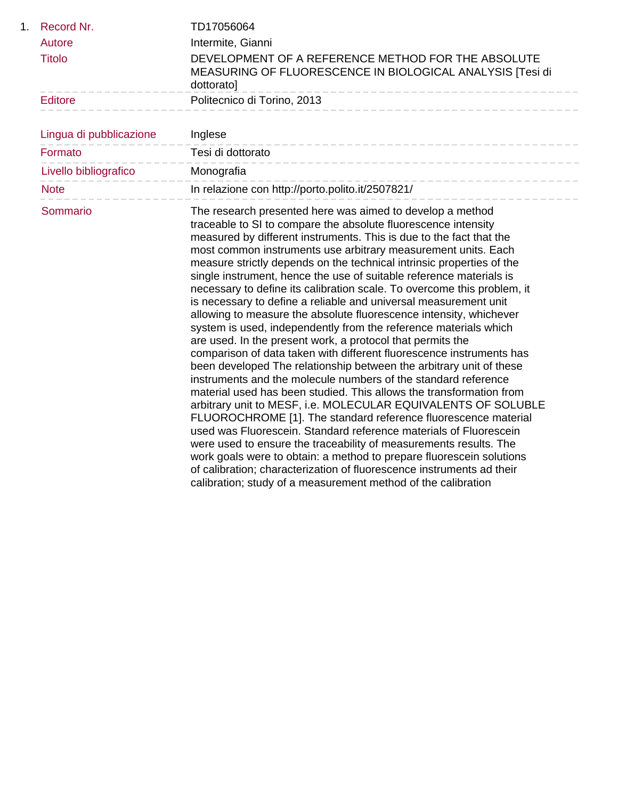| 1. | Record Nr.              | TD17056064                                                                                                                                                                                                                                                                                                                                                                                                                                                                                                                                                                                                                                                                                                                                                                                                                                                                                                                                                                                                                                                                                                                                                                                                                                                                                                                                                                                                                                                                                                                                                        |
|----|-------------------------|-------------------------------------------------------------------------------------------------------------------------------------------------------------------------------------------------------------------------------------------------------------------------------------------------------------------------------------------------------------------------------------------------------------------------------------------------------------------------------------------------------------------------------------------------------------------------------------------------------------------------------------------------------------------------------------------------------------------------------------------------------------------------------------------------------------------------------------------------------------------------------------------------------------------------------------------------------------------------------------------------------------------------------------------------------------------------------------------------------------------------------------------------------------------------------------------------------------------------------------------------------------------------------------------------------------------------------------------------------------------------------------------------------------------------------------------------------------------------------------------------------------------------------------------------------------------|
|    | Autore                  | Intermite, Gianni                                                                                                                                                                                                                                                                                                                                                                                                                                                                                                                                                                                                                                                                                                                                                                                                                                                                                                                                                                                                                                                                                                                                                                                                                                                                                                                                                                                                                                                                                                                                                 |
|    | <b>Titolo</b>           | DEVELOPMENT OF A REFERENCE METHOD FOR THE ABSOLUTE<br>MEASURING OF FLUORESCENCE IN BIOLOGICAL ANALYSIS [Tesi di<br>dottorato]                                                                                                                                                                                                                                                                                                                                                                                                                                                                                                                                                                                                                                                                                                                                                                                                                                                                                                                                                                                                                                                                                                                                                                                                                                                                                                                                                                                                                                     |
|    | <b>Editore</b>          | Politecnico di Torino, 2013                                                                                                                                                                                                                                                                                                                                                                                                                                                                                                                                                                                                                                                                                                                                                                                                                                                                                                                                                                                                                                                                                                                                                                                                                                                                                                                                                                                                                                                                                                                                       |
|    | Lingua di pubblicazione | Inglese                                                                                                                                                                                                                                                                                                                                                                                                                                                                                                                                                                                                                                                                                                                                                                                                                                                                                                                                                                                                                                                                                                                                                                                                                                                                                                                                                                                                                                                                                                                                                           |
|    | Formato                 | -------------------------<br>Tesi di dottorato                                                                                                                                                                                                                                                                                                                                                                                                                                                                                                                                                                                                                                                                                                                                                                                                                                                                                                                                                                                                                                                                                                                                                                                                                                                                                                                                                                                                                                                                                                                    |
|    | Livello bibliografico   | Monografia                                                                                                                                                                                                                                                                                                                                                                                                                                                                                                                                                                                                                                                                                                                                                                                                                                                                                                                                                                                                                                                                                                                                                                                                                                                                                                                                                                                                                                                                                                                                                        |
|    | <b>Note</b>             | In relazione con http://porto.polito.it/2507821/                                                                                                                                                                                                                                                                                                                                                                                                                                                                                                                                                                                                                                                                                                                                                                                                                                                                                                                                                                                                                                                                                                                                                                                                                                                                                                                                                                                                                                                                                                                  |
|    | Sommario                | The research presented here was aimed to develop a method<br>traceable to SI to compare the absolute fluorescence intensity<br>measured by different instruments. This is due to the fact that the<br>most common instruments use arbitrary measurement units. Each<br>measure strictly depends on the technical intrinsic properties of the<br>single instrument, hence the use of suitable reference materials is<br>necessary to define its calibration scale. To overcome this problem, it<br>is necessary to define a reliable and universal measurement unit<br>allowing to measure the absolute fluorescence intensity, whichever<br>system is used, independently from the reference materials which<br>are used. In the present work, a protocol that permits the<br>comparison of data taken with different fluorescence instruments has<br>been developed The relationship between the arbitrary unit of these<br>instruments and the molecule numbers of the standard reference<br>material used has been studied. This allows the transformation from<br>arbitrary unit to MESF, i.e. MOLECULAR EQUIVALENTS OF SOLUBLE<br>FLUOROCHROME [1]. The standard reference fluorescence material<br>used was Fluorescein. Standard reference materials of Fluorescein<br>were used to ensure the traceability of measurements results. The<br>work goals were to obtain: a method to prepare fluorescein solutions<br>of calibration; characterization of fluorescence instruments ad their<br>calibration; study of a measurement method of the calibration |